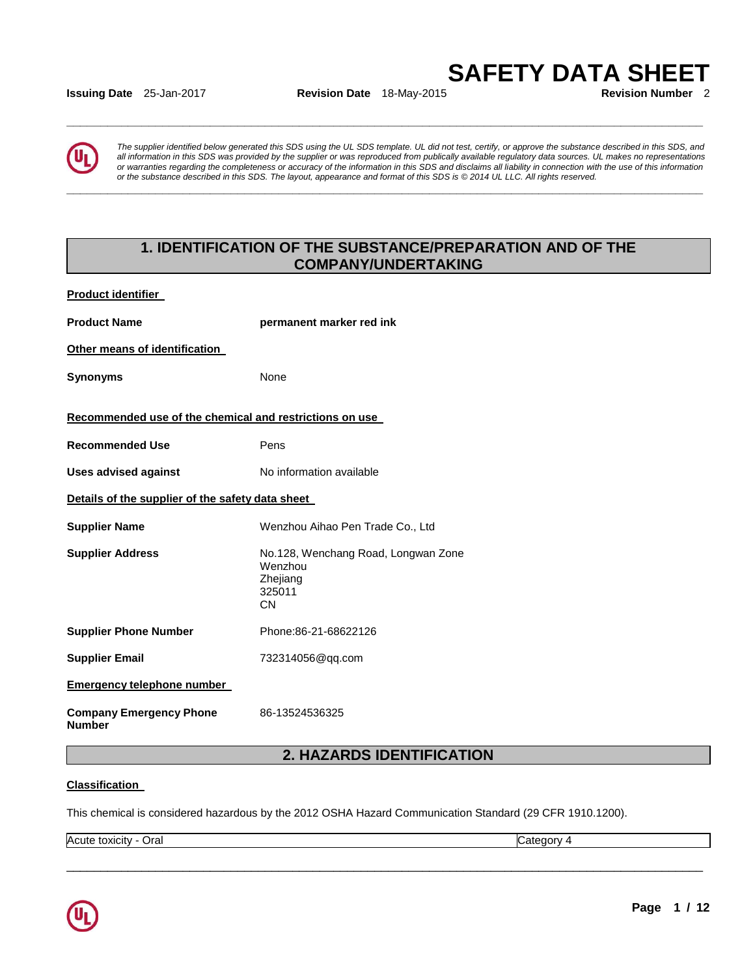**SAFETY DATA SHEET** 

**Issuing Date** 25-Jan-2017 **Revision Date** 18-May-2015

**\_\_\_\_\_\_\_\_\_\_\_\_\_\_\_\_\_\_\_\_\_\_\_\_\_\_\_\_\_\_\_\_\_\_\_\_\_\_\_\_\_\_\_\_\_\_\_\_\_\_\_\_\_\_\_\_\_\_\_\_\_\_\_\_\_\_\_\_\_\_\_\_\_\_\_\_\_\_\_\_\_\_\_\_\_\_\_\_\_\_\_\_\_** 

**\_\_\_\_\_\_\_\_\_\_\_\_\_\_\_\_\_\_\_\_\_\_\_\_\_\_\_\_\_\_\_\_\_\_\_\_\_\_\_\_\_\_\_\_\_\_\_\_\_\_\_\_\_\_\_\_\_\_\_\_\_\_\_\_\_\_\_\_\_\_\_\_\_\_\_\_\_\_\_\_\_\_\_\_\_\_\_\_\_\_\_\_\_** 

*The supplier identified below generated this SDS using the UL SDS template. UL did not test, certify, or approve the substance described in this SDS, and all information in this SDS was provided by the supplier or was reproduced from publically available regulatory data sources. UL makes no representations or warranties regarding the completeness or accuracy of the information in this SDS and disclaims all liability in connection with the use of this information or the substance described in this SDS. The layout, appearance and format of this SDS is © 2014 UL LLC. All rights reserved.* 

## **1. IDENTIFICATION OF THE SUBSTANCE/PREPARATION AND OF THE COMPANY/UNDERTAKING**

**Product identifier** 

| <b>Product Name</b>                                     | permanent marker red ink                                                          |  |
|---------------------------------------------------------|-----------------------------------------------------------------------------------|--|
| Other means of identification                           |                                                                                   |  |
| <b>Synonyms</b>                                         | None                                                                              |  |
| Recommended use of the chemical and restrictions on use |                                                                                   |  |
| <b>Recommended Use</b>                                  | Pens                                                                              |  |
| <b>Uses advised against</b>                             | No information available                                                          |  |
| Details of the supplier of the safety data sheet        |                                                                                   |  |
| <b>Supplier Name</b>                                    | Wenzhou Aihao Pen Trade Co., Ltd                                                  |  |
| <b>Supplier Address</b>                                 | No.128, Wenchang Road, Longwan Zone<br>Wenzhou<br>Zhejiang<br>325011<br><b>CN</b> |  |
| <b>Supplier Phone Number</b>                            | Phone:86-21-68622126                                                              |  |
| <b>Supplier Email</b>                                   | 732314056@qq.com                                                                  |  |
| <b>Emergency telephone number</b>                       |                                                                                   |  |
| <b>Company Emergency Phone</b><br><b>Number</b>         | 86-13524536325                                                                    |  |

## **2. HAZARDS IDENTIFICATION**

\_\_\_\_\_\_\_\_\_\_\_\_\_\_\_\_\_\_\_\_\_\_\_\_\_\_\_\_\_\_\_\_\_\_\_\_\_\_\_\_\_\_\_\_\_\_\_\_\_\_\_\_\_\_\_\_\_\_\_\_\_\_\_\_\_\_\_\_\_\_\_\_\_\_\_\_\_\_\_\_\_\_\_\_\_\_\_\_\_\_\_\_\_

#### **Classification**

This chemical is considered hazardous by the 2012 OSHA Hazard Communication Standard (29 CFR 1910.1200).

Acute toxicity - Oral Category 4

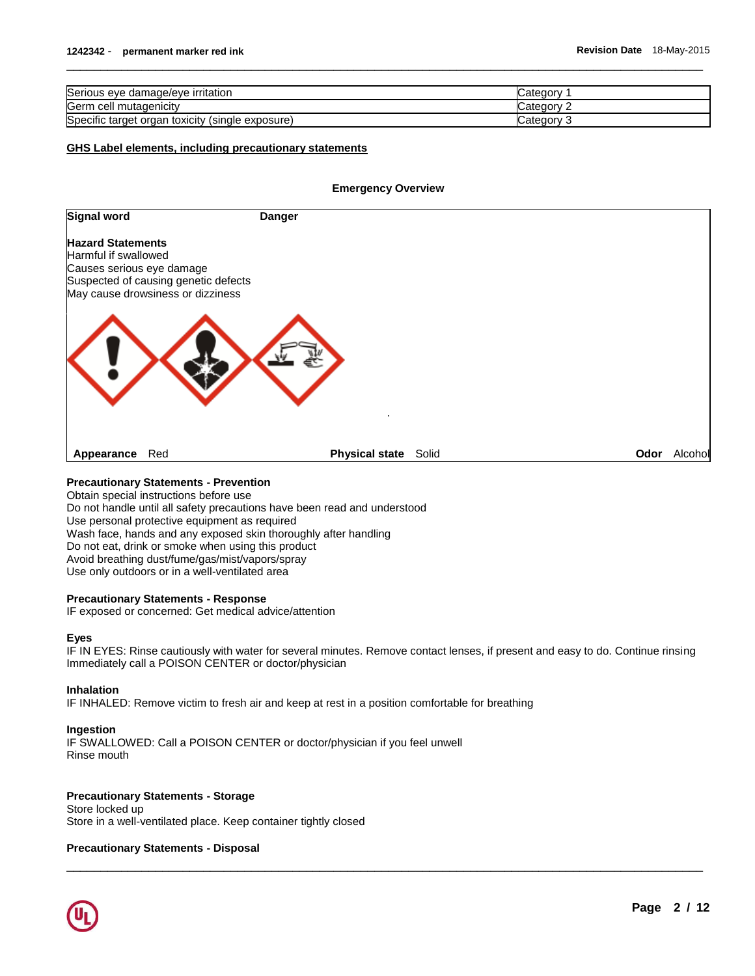| Serious eye damage/eye irritation                     |           |
|-------------------------------------------------------|-----------|
| Germ<br>⊦cell mutaɑenicitv                            | ∵ategorv  |
| Specific target organ<br>i toxicity (single exposure) | ∵ategorvٽ |

 $\overline{\phantom{a}}$  ,  $\overline{\phantom{a}}$  ,  $\overline{\phantom{a}}$  ,  $\overline{\phantom{a}}$  ,  $\overline{\phantom{a}}$  ,  $\overline{\phantom{a}}$  ,  $\overline{\phantom{a}}$  ,  $\overline{\phantom{a}}$  ,  $\overline{\phantom{a}}$  ,  $\overline{\phantom{a}}$  ,  $\overline{\phantom{a}}$  ,  $\overline{\phantom{a}}$  ,  $\overline{\phantom{a}}$  ,  $\overline{\phantom{a}}$  ,  $\overline{\phantom{a}}$  ,  $\overline{\phantom{a}}$ 

#### **GHS Label elements, including precautionary statements**

#### **Emergency Overview**

| <b>Signal word</b>                                                            | <b>Danger</b>                                                             |      |         |
|-------------------------------------------------------------------------------|---------------------------------------------------------------------------|------|---------|
| <b>Hazard Statements</b><br>Harmful if swallowed<br>Causes serious eye damage | Suspected of causing genetic defects<br>May cause drowsiness or dizziness |      |         |
|                                                                               |                                                                           |      |         |
| Appearance                                                                    | <b>Physical state</b> Solid<br>Red                                        | Odor | Alcohol |

#### **Precautionary Statements - Prevention**

Obtain special instructions before use Do not handle until all safety precautions have been read and understood Use personal protective equipment as required Wash face, hands and any exposed skin thoroughly after handling Do not eat, drink or smoke when using this product Avoid breathing dust/fume/gas/mist/vapors/spray Use only outdoors or in a well-ventilated area

#### **Precautionary Statements - Response**

IF exposed or concerned: Get medical advice/attention

#### **Eyes**

IF IN EYES: Rinse cautiously with water for several minutes. Remove contact lenses, if present and easy to do. Continue rinsing Immediately call a POISON CENTER or doctor/physician

\_\_\_\_\_\_\_\_\_\_\_\_\_\_\_\_\_\_\_\_\_\_\_\_\_\_\_\_\_\_\_\_\_\_\_\_\_\_\_\_\_\_\_\_\_\_\_\_\_\_\_\_\_\_\_\_\_\_\_\_\_\_\_\_\_\_\_\_\_\_\_\_\_\_\_\_\_\_\_\_\_\_\_\_\_\_\_\_\_\_\_\_\_

#### **Inhalation**

IF INHALED: Remove victim to fresh air and keep at rest in a position comfortable for breathing

#### **Ingestion**

IF SWALLOWED: Call a POISON CENTER or doctor/physician if you feel unwell Rinse mouth

### **Precautionary Statements - Storage**

Store locked up Store in a well-ventilated place. Keep container tightly closed

#### **Precautionary Statements - Disposal**

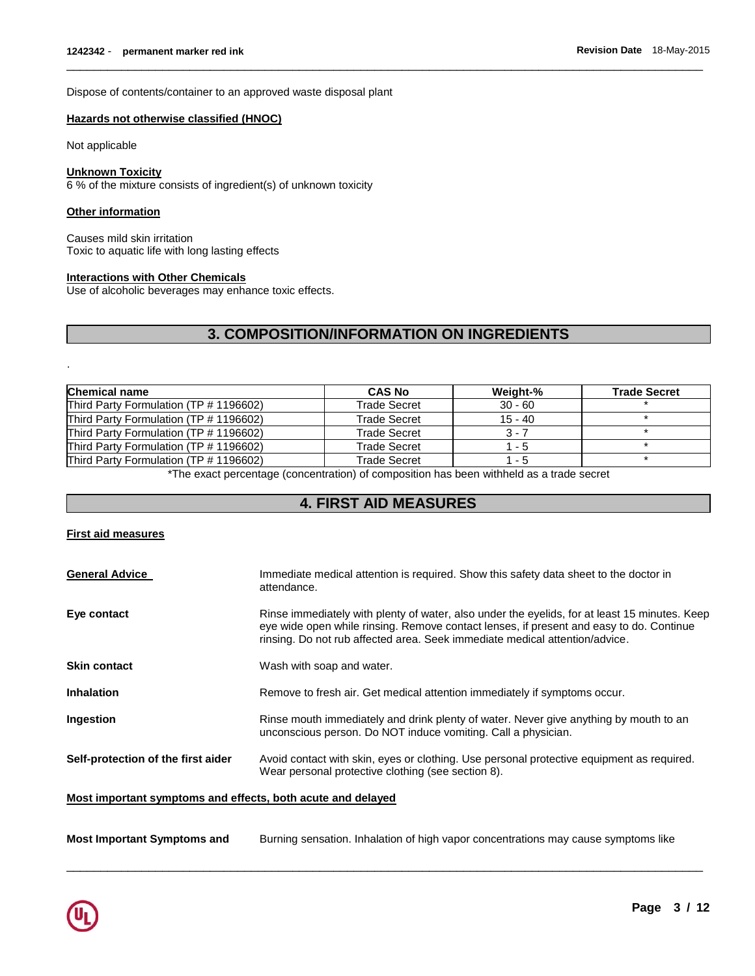Dispose of contents/container to an approved waste disposal plant

#### **Hazards not otherwise classified (HNOC)**

Not applicable

#### **Unknown Toxicity**

6 % of the mixture consists of ingredient(s) of unknown toxicity

#### **Other information**

.

Causes mild skin irritation Toxic to aquatic life with long lasting effects

#### **Interactions with Other Chemicals**

Use of alcoholic beverages may enhance toxic effects.

## **3. COMPOSITION/INFORMATION ON INGREDIENTS**

 $\overline{\phantom{a}}$  ,  $\overline{\phantom{a}}$  ,  $\overline{\phantom{a}}$  ,  $\overline{\phantom{a}}$  ,  $\overline{\phantom{a}}$  ,  $\overline{\phantom{a}}$  ,  $\overline{\phantom{a}}$  ,  $\overline{\phantom{a}}$  ,  $\overline{\phantom{a}}$  ,  $\overline{\phantom{a}}$  ,  $\overline{\phantom{a}}$  ,  $\overline{\phantom{a}}$  ,  $\overline{\phantom{a}}$  ,  $\overline{\phantom{a}}$  ,  $\overline{\phantom{a}}$  ,  $\overline{\phantom{a}}$ 

| <b>Chemical name</b>                   | <b>CAS No</b>       | Weight-%  | <b>Trade Secret</b> |
|----------------------------------------|---------------------|-----------|---------------------|
| Third Party Formulation (TP # 1196602) | <b>Trade Secret</b> | $30 - 60$ |                     |
| Third Party Formulation (TP # 1196602) | Trade Secret        | $15 - 40$ |                     |
| Third Party Formulation (TP # 1196602) | Trade Secret        | $3 - 7$   |                     |
| Third Party Formulation (TP # 1196602) | <b>Trade Secret</b> | $1 - 5$   |                     |
| Third Party Formulation (TP # 1196602) | Trade Secret        | 1 - 5     |                     |

\*The exact percentage (concentration) of composition has been withheld as a trade secret

## **4. FIRST AID MEASURES**

#### **First aid measures**

| <b>General Advice</b>              | Immediate medical attention is required. Show this safety data sheet to the doctor in<br>attendance.                                                                                                                                                                    |
|------------------------------------|-------------------------------------------------------------------------------------------------------------------------------------------------------------------------------------------------------------------------------------------------------------------------|
| Eye contact                        | Rinse immediately with plenty of water, also under the eyelids, for at least 15 minutes. Keep<br>eye wide open while rinsing. Remove contact lenses, if present and easy to do. Continue<br>rinsing. Do not rub affected area. Seek immediate medical attention/advice. |
| <b>Skin contact</b>                | Wash with soap and water.                                                                                                                                                                                                                                               |
| <b>Inhalation</b>                  | Remove to fresh air. Get medical attention immediately if symptoms occur.                                                                                                                                                                                               |
| Ingestion                          | Rinse mouth immediately and drink plenty of water. Never give anything by mouth to an<br>unconscious person. Do NOT induce vomiting. Call a physician.                                                                                                                  |
| Self-protection of the first aider | Avoid contact with skin, eyes or clothing. Use personal protective equipment as required.<br>Wear personal protective clothing (see section 8).                                                                                                                         |

**Most important symptoms and effects, both acute and delayed**

**Most Important Symptoms and** Burning sensation. Inhalation of high vapor concentrations may cause symptoms like

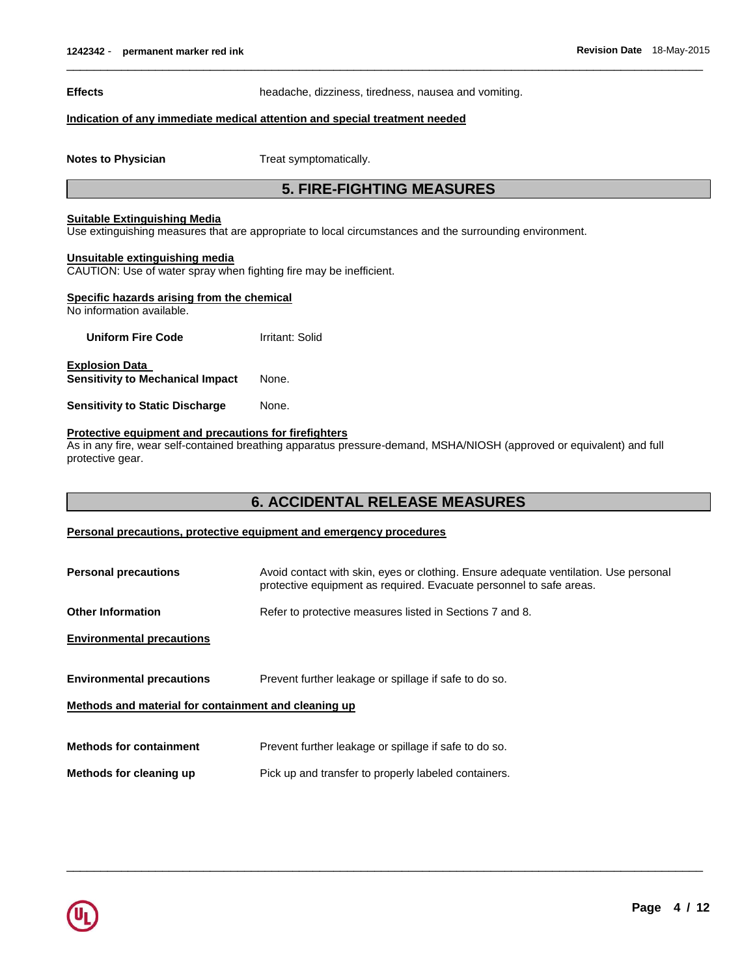**Effects** headache, dizziness, tiredness, nausea and vomiting.

 $\overline{\phantom{a}}$  ,  $\overline{\phantom{a}}$  ,  $\overline{\phantom{a}}$  ,  $\overline{\phantom{a}}$  ,  $\overline{\phantom{a}}$  ,  $\overline{\phantom{a}}$  ,  $\overline{\phantom{a}}$  ,  $\overline{\phantom{a}}$  ,  $\overline{\phantom{a}}$  ,  $\overline{\phantom{a}}$  ,  $\overline{\phantom{a}}$  ,  $\overline{\phantom{a}}$  ,  $\overline{\phantom{a}}$  ,  $\overline{\phantom{a}}$  ,  $\overline{\phantom{a}}$  ,  $\overline{\phantom{a}}$ 

#### **Indication of any immediate medical attention and special treatment needed**

**Notes to Physician**  Treat symptomatically.

## **5. FIRE-FIGHTING MEASURES**

#### **Suitable Extinguishing Media**

Use extinguishing measures that are appropriate to local circumstances and the surrounding environment.

#### **Unsuitable extinguishing media**

CAUTION: Use of water spray when fighting fire may be inefficient.

| Specific hazards arising from the chemical<br>No information available. |                 |  |
|-------------------------------------------------------------------------|-----------------|--|
| <b>Uniform Fire Code</b>                                                | Irritant: Solid |  |
| <b>Explosion Data</b><br><b>Sensitivity to Mechanical Impact</b>        | None.           |  |
| <b>Sensitivity to Static Discharge</b>                                  | None.           |  |
|                                                                         |                 |  |

### **Protective equipment and precautions for firefighters**

As in any fire, wear self-contained breathing apparatus pressure-demand, MSHA/NIOSH (approved or equivalent) and full protective gear.

## **6. ACCIDENTAL RELEASE MEASURES**

#### **Personal precautions, protective equipment and emergency procedures**

| <b>Personal precautions</b>                          | Avoid contact with skin, eyes or clothing. Ensure adequate ventilation. Use personal<br>protective equipment as required. Evacuate personnel to safe areas. |  |
|------------------------------------------------------|-------------------------------------------------------------------------------------------------------------------------------------------------------------|--|
| <b>Other Information</b>                             | Refer to protective measures listed in Sections 7 and 8.                                                                                                    |  |
| <b>Environmental precautions</b>                     |                                                                                                                                                             |  |
| <b>Environmental precautions</b>                     | Prevent further leakage or spillage if safe to do so.                                                                                                       |  |
| Methods and material for containment and cleaning up |                                                                                                                                                             |  |
| <b>Methods for containment</b>                       | Prevent further leakage or spillage if safe to do so.                                                                                                       |  |
| Methods for cleaning up                              | Pick up and transfer to properly labeled containers.                                                                                                        |  |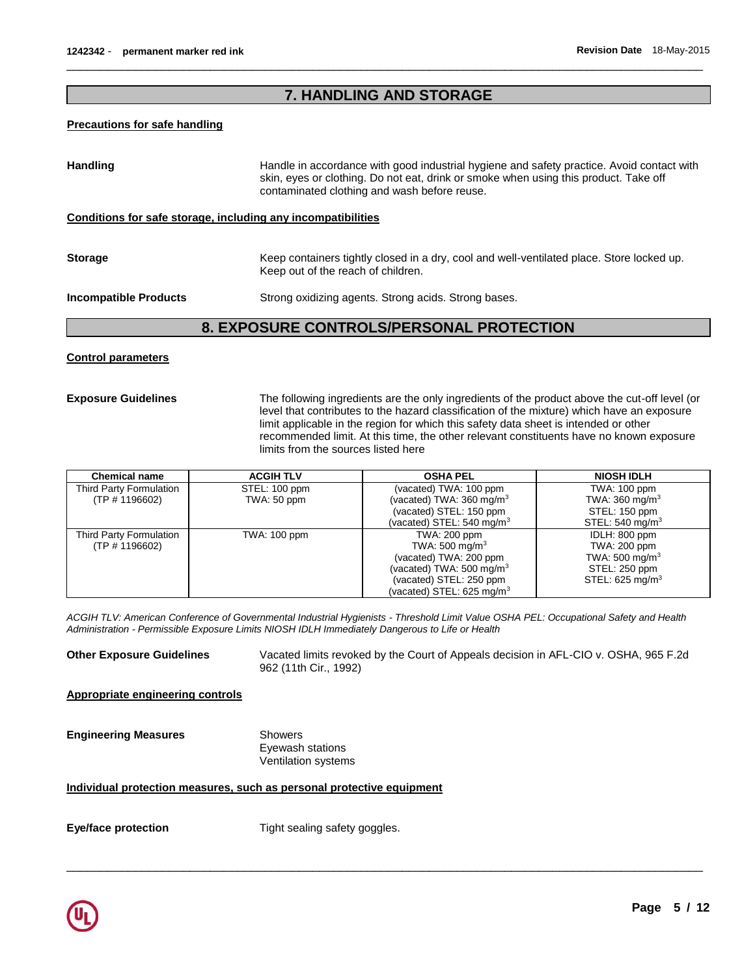## **7. HANDLING AND STORAGE**

 $\overline{\phantom{a}}$  ,  $\overline{\phantom{a}}$  ,  $\overline{\phantom{a}}$  ,  $\overline{\phantom{a}}$  ,  $\overline{\phantom{a}}$  ,  $\overline{\phantom{a}}$  ,  $\overline{\phantom{a}}$  ,  $\overline{\phantom{a}}$  ,  $\overline{\phantom{a}}$  ,  $\overline{\phantom{a}}$  ,  $\overline{\phantom{a}}$  ,  $\overline{\phantom{a}}$  ,  $\overline{\phantom{a}}$  ,  $\overline{\phantom{a}}$  ,  $\overline{\phantom{a}}$  ,  $\overline{\phantom{a}}$ 

#### **Precautions for safe handling**

| <b>Handling</b>              | Handle in accordance with good industrial hygiene and safety practice. Avoid contact with<br>skin, eyes or clothing. Do not eat, drink or smoke when using this product. Take off<br>contaminated clothing and wash before reuse. |  |
|------------------------------|-----------------------------------------------------------------------------------------------------------------------------------------------------------------------------------------------------------------------------------|--|
|                              | Conditions for safe storage, including any incompatibilities                                                                                                                                                                      |  |
| <b>Storage</b>               | Keep containers tightly closed in a dry, cool and well-ventilated place. Store locked up.<br>Keep out of the reach of children.                                                                                                   |  |
| <b>Incompatible Products</b> | Strong oxidizing agents. Strong acids. Strong bases.                                                                                                                                                                              |  |

## **8. EXPOSURE CONTROLS/PERSONAL PROTECTION**

#### **Control parameters**

**Exposure Guidelines** The following ingredients are the only ingredients of the product above the cut-off level (or level that contributes to the hazard classification of the mixture) which have an exposure limit applicable in the region for which this safety data sheet is intended or other recommended limit. At this time, the other relevant constituents have no known exposure limits from the sources listed here

| <b>Chemical name</b>    | <b>ACGIH TLV</b> | <b>OSHA PEL</b>                        | <b>NIOSH IDLH</b>           |
|-------------------------|------------------|----------------------------------------|-----------------------------|
| Third Party Formulation | STEL: 100 ppm    | (vacated) TWA: 100 ppm                 | <b>TWA: 100 ppm</b>         |
| (TP # 1196602)          | TWA: 50 ppm      | (vacated) TWA: $360 \,\mathrm{mg/m^3}$ | TWA: $360 \text{ mg/m}^3$   |
|                         |                  | (vacated) STEL: 150 ppm                | STEL: 150 ppm               |
|                         |                  | (vacated) STEL: $540 \text{ mg/m}^3$   | STEL: $540 \text{ mg/m}^3$  |
| Third Party Formulation | TWA: 100 ppm     | TWA: 200 ppm                           | IDLH: 800 ppm               |
| (TP # 1196602)          |                  | TWA: $500 \text{ mg/m}^3$              | TWA: 200 ppm                |
|                         |                  | (vacated) TWA: 200 ppm                 | TWA: $500 \text{ mg/m}^3$   |
|                         |                  | (vacated) TWA: 500 mg/m $3$            | STEL: 250 ppm               |
|                         |                  | (vacated) STEL: 250 ppm                | STEL: 625 mg/m <sup>3</sup> |
|                         |                  | (vacated) STEL: $625 \text{ mg/m}^3$   |                             |

*ACGIH TLV: American Conference of Governmental Industrial Hygienists - Threshold Limit Value OSHA PEL: Occupational Safety and Health Administration - Permissible Exposure Limits NIOSH IDLH Immediately Dangerous to Life or Health* 

**Other Exposure Guidelines** Vacated limits revoked by the Court of Appeals decision in AFL-CIO v. OSHA, 965 F.2d 962 (11th Cir., 1992)

\_\_\_\_\_\_\_\_\_\_\_\_\_\_\_\_\_\_\_\_\_\_\_\_\_\_\_\_\_\_\_\_\_\_\_\_\_\_\_\_\_\_\_\_\_\_\_\_\_\_\_\_\_\_\_\_\_\_\_\_\_\_\_\_\_\_\_\_\_\_\_\_\_\_\_\_\_\_\_\_\_\_\_\_\_\_\_\_\_\_\_\_\_

**Appropriate engineering controls**

**Engineering Measures Showers** 

Eyewash stations Ventilation systems

#### **Individual protection measures, such as personal protective equipment**

**Eye/face protection Tight sealing safety goggles.** 

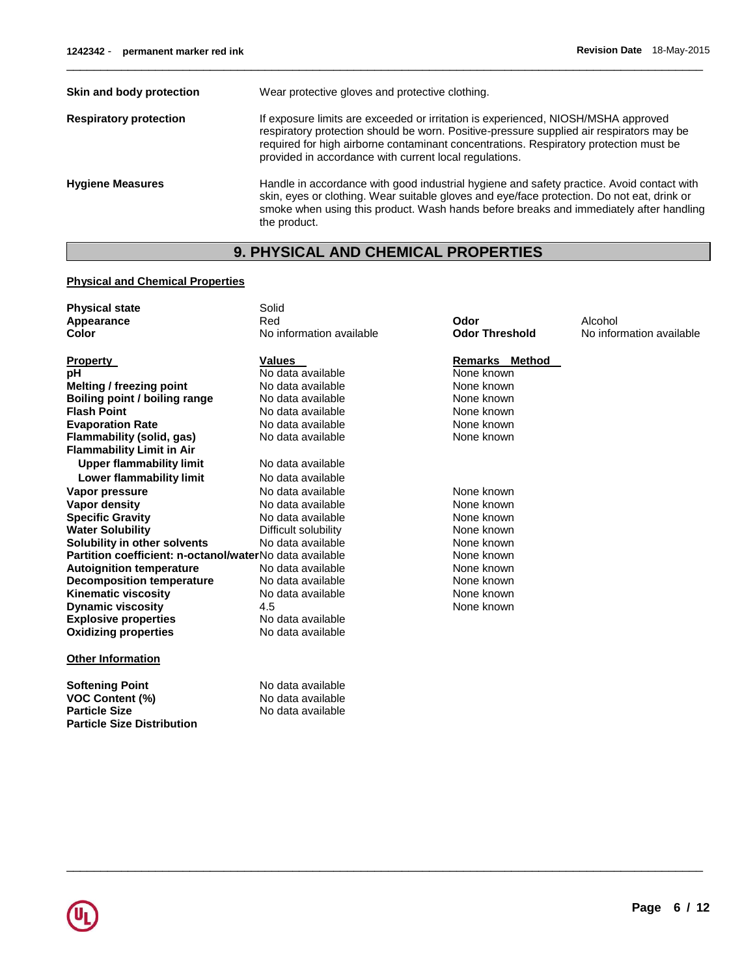| Skin and body protection      | Wear protective gloves and protective clothing.                                                                                                                                                                                                                                                                                  |
|-------------------------------|----------------------------------------------------------------------------------------------------------------------------------------------------------------------------------------------------------------------------------------------------------------------------------------------------------------------------------|
| <b>Respiratory protection</b> | If exposure limits are exceeded or irritation is experienced, NIOSH/MSHA approved<br>respiratory protection should be worn. Positive-pressure supplied air respirators may be<br>required for high airborne contaminant concentrations. Respiratory protection must be<br>provided in accordance with current local regulations. |
| <b>Hygiene Measures</b>       | Handle in accordance with good industrial hygiene and safety practice. Avoid contact with<br>skin, eyes or clothing. Wear suitable gloves and eye/face protection. Do not eat, drink or<br>smoke when using this product. Wash hands before breaks and immediately after handling<br>the product.                                |

 $\overline{\phantom{a}}$  ,  $\overline{\phantom{a}}$  ,  $\overline{\phantom{a}}$  ,  $\overline{\phantom{a}}$  ,  $\overline{\phantom{a}}$  ,  $\overline{\phantom{a}}$  ,  $\overline{\phantom{a}}$  ,  $\overline{\phantom{a}}$  ,  $\overline{\phantom{a}}$  ,  $\overline{\phantom{a}}$  ,  $\overline{\phantom{a}}$  ,  $\overline{\phantom{a}}$  ,  $\overline{\phantom{a}}$  ,  $\overline{\phantom{a}}$  ,  $\overline{\phantom{a}}$  ,  $\overline{\phantom{a}}$ 

# **9. PHYSICAL AND CHEMICAL PROPERTIES**

### **Physical and Chemical Properties**

| <b>Physical state</b>                                   | Solid                    |                       |                          |
|---------------------------------------------------------|--------------------------|-----------------------|--------------------------|
| Appearance                                              | Red                      | Odor                  | Alcohol                  |
| Color                                                   | No information available | <b>Odor Threshold</b> | No information available |
| <b>Property</b>                                         | <b>Values</b>            | <b>Remarks Method</b> |                          |
| рH                                                      | No data available        | None known            |                          |
| <b>Melting / freezing point</b>                         | No data available        | None known            |                          |
| Boiling point / boiling range                           | No data available        | None known            |                          |
| <b>Flash Point</b>                                      | No data available        | None known            |                          |
| <b>Evaporation Rate</b>                                 | No data available        | None known            |                          |
| Flammability (solid, gas)                               | No data available        | None known            |                          |
| <b>Flammability Limit in Air</b>                        |                          |                       |                          |
| <b>Upper flammability limit</b>                         | No data available        |                       |                          |
| Lower flammability limit                                | No data available        |                       |                          |
| Vapor pressure                                          | No data available        | None known            |                          |
| Vapor density                                           | No data available        | None known            |                          |
| <b>Specific Gravity</b>                                 | No data available        | None known            |                          |
| <b>Water Solubility</b>                                 | Difficult solubility     | None known            |                          |
| Solubility in other solvents                            | No data available        | None known            |                          |
| Partition coefficient: n-octanol/waterNo data available |                          | None known            |                          |
| <b>Autoignition temperature</b>                         | No data available        | None known            |                          |
| <b>Decomposition temperature</b>                        | No data available        | None known            |                          |
| <b>Kinematic viscosity</b>                              | No data available        | None known            |                          |
| <b>Dynamic viscosity</b>                                | 4.5                      | None known            |                          |
| <b>Explosive properties</b>                             | No data available        |                       |                          |
| <b>Oxidizing properties</b>                             | No data available        |                       |                          |
| <b>Other Information</b>                                |                          |                       |                          |
| <b>Softening Point</b>                                  | No data available        |                       |                          |
| <b>VOC Content (%)</b>                                  | No data available        |                       |                          |
| <b>Particle Size</b>                                    | No data available        |                       |                          |
| <b>Particle Size Distribution</b>                       |                          |                       |                          |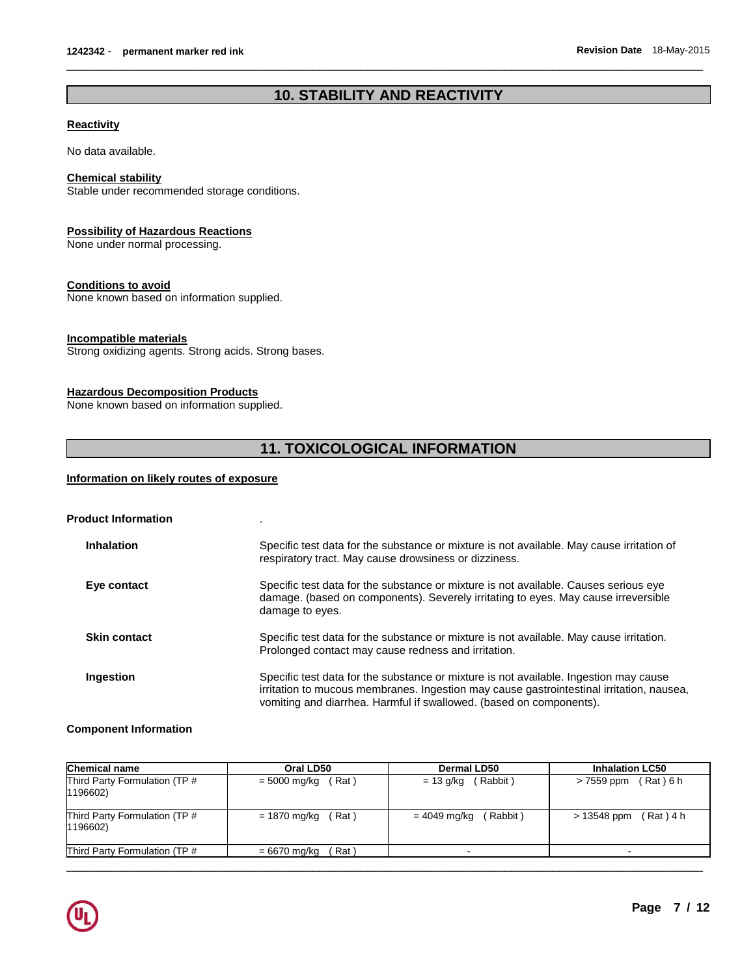## **10. STABILITY AND REACTIVITY**

 $\overline{\phantom{a}}$  ,  $\overline{\phantom{a}}$  ,  $\overline{\phantom{a}}$  ,  $\overline{\phantom{a}}$  ,  $\overline{\phantom{a}}$  ,  $\overline{\phantom{a}}$  ,  $\overline{\phantom{a}}$  ,  $\overline{\phantom{a}}$  ,  $\overline{\phantom{a}}$  ,  $\overline{\phantom{a}}$  ,  $\overline{\phantom{a}}$  ,  $\overline{\phantom{a}}$  ,  $\overline{\phantom{a}}$  ,  $\overline{\phantom{a}}$  ,  $\overline{\phantom{a}}$  ,  $\overline{\phantom{a}}$ 

#### **Reactivity**

No data available.

#### **Chemical stability**

Stable under recommended storage conditions.

#### **Possibility of Hazardous Reactions**

None under normal processing.

#### **Conditions to avoid**

None known based on information supplied.

#### **Incompatible materials**

Strong oxidizing agents. Strong acids. Strong bases.

#### **Hazardous Decomposition Products**

None known based on information supplied.

## **11. TOXICOLOGICAL INFORMATION**

#### **Information on likely routes of exposure**

| <b>Product Information</b> |                                                                                                                                                                                                                                                          |
|----------------------------|----------------------------------------------------------------------------------------------------------------------------------------------------------------------------------------------------------------------------------------------------------|
| <b>Inhalation</b>          | Specific test data for the substance or mixture is not available. May cause irritation of<br>respiratory tract. May cause drowsiness or dizziness.                                                                                                       |
| Eye contact                | Specific test data for the substance or mixture is not available. Causes serious eye<br>damage. (based on components). Severely irritating to eyes. May cause irreversible<br>damage to eyes.                                                            |
| <b>Skin contact</b>        | Specific test data for the substance or mixture is not available. May cause irritation.<br>Prolonged contact may cause redness and irritation.                                                                                                           |
| Ingestion                  | Specific test data for the substance or mixture is not available. Ingestion may cause<br>irritation to mucous membranes. Ingestion may cause gastrointestinal irritation, nausea,<br>vomiting and diarrhea. Harmful if swallowed. (based on components). |

#### **Component Information**

| <b>Chemical name</b>                      | Oral LD50                        | <b>Dermal LD50</b>       | <b>Inhalation LC50</b>     |
|-------------------------------------------|----------------------------------|--------------------------|----------------------------|
| Third Party Formulation (TP #<br>1196602) | (Rat)<br>= 5000 mg/kg            | $= 13$ g/kg (Rabbit)     | (Rat ) 6 h<br>> 7559 ppm   |
| Third Party Formulation (TP #<br>1196602) | Rat)<br>= 1870 mg/kg             | (Rabbit)<br>= 4049 mg/kg | $(Rat)$ 4 h<br>> 13548 ppm |
| Third Party Formulation (TP #             | Rat <sup>'</sup><br>= 6670 mg/kg |                          |                            |
|                                           |                                  |                          |                            |

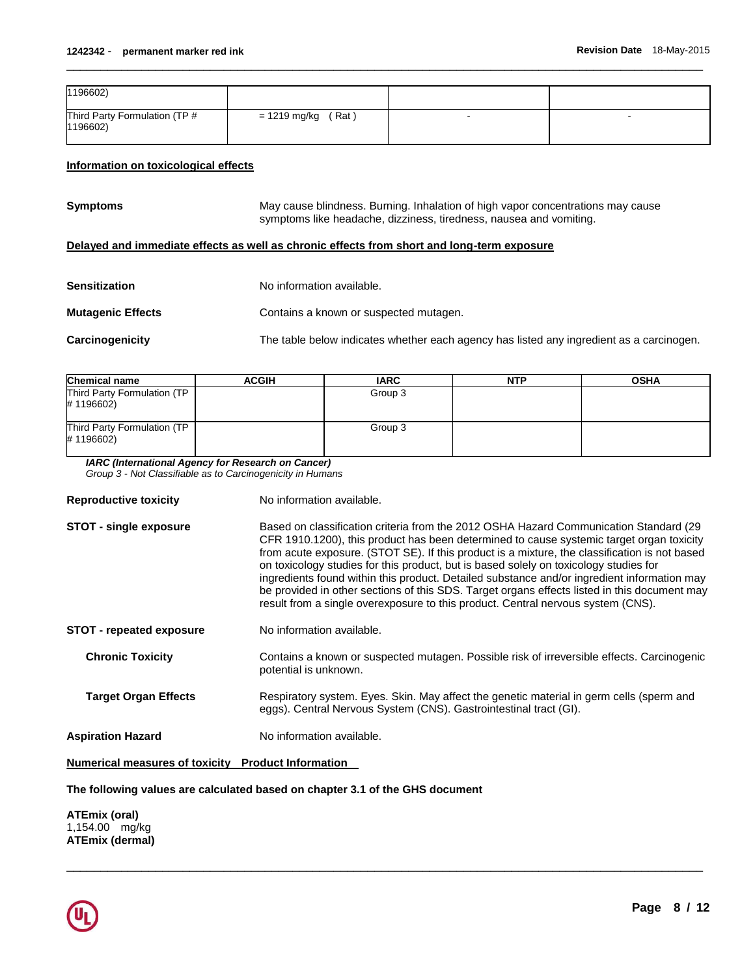| 1196602)                                  |                      |   |  |
|-------------------------------------------|----------------------|---|--|
| Third Party Formulation (TP #<br>1196602) | $= 1219$ mg/kg (Rat) | - |  |

 $\overline{\phantom{a}}$  ,  $\overline{\phantom{a}}$  ,  $\overline{\phantom{a}}$  ,  $\overline{\phantom{a}}$  ,  $\overline{\phantom{a}}$  ,  $\overline{\phantom{a}}$  ,  $\overline{\phantom{a}}$  ,  $\overline{\phantom{a}}$  ,  $\overline{\phantom{a}}$  ,  $\overline{\phantom{a}}$  ,  $\overline{\phantom{a}}$  ,  $\overline{\phantom{a}}$  ,  $\overline{\phantom{a}}$  ,  $\overline{\phantom{a}}$  ,  $\overline{\phantom{a}}$  ,  $\overline{\phantom{a}}$ 

#### **Information on toxicological effects**

**Symptoms** May cause blindness. Burning. Inhalation of high vapor concentrations may cause symptoms like headache, dizziness, tiredness, nausea and vomiting.

#### **Delayed and immediate effects as well as chronic effects from short and long-term exposure**

| <b>Sensitization</b>     | No information available.                                                                |
|--------------------------|------------------------------------------------------------------------------------------|
| <b>Mutagenic Effects</b> | Contains a known or suspected mutagen.                                                   |
| <b>Carcinogenicity</b>   | The table below indicates whether each agency has listed any ingredient as a carcinogen. |

| <b>Chemical name</b>                     | <b>ACGIH</b> | <b>IARC</b> | <b>NTP</b> | <b>OSHA</b> |
|------------------------------------------|--------------|-------------|------------|-------------|
| Third Party Formulation (TP<br>#1196602) |              | Group 3     |            |             |
| Third Party Formulation (TP<br>#1196602) |              | Group 3     |            |             |

*IARC (International Agency for Research on Cancer)*

*Group 3 - Not Classifiable as to Carcinogenicity in Humans* 

| <b>Reproductive toxicity</b>                       | No information available.                                                                                                                                                                                                                                                                                                                                                                                                                                                                                                                                                                                                                                      |
|----------------------------------------------------|----------------------------------------------------------------------------------------------------------------------------------------------------------------------------------------------------------------------------------------------------------------------------------------------------------------------------------------------------------------------------------------------------------------------------------------------------------------------------------------------------------------------------------------------------------------------------------------------------------------------------------------------------------------|
| <b>STOT - single exposure</b>                      | Based on classification criteria from the 2012 OSHA Hazard Communication Standard (29<br>CFR 1910.1200), this product has been determined to cause systemic target organ toxicity<br>from acute exposure. (STOT SE). If this product is a mixture, the classification is not based<br>on toxicology studies for this product, but is based solely on toxicology studies for<br>ingredients found within this product. Detailed substance and/or ingredient information may<br>be provided in other sections of this SDS. Target organs effects listed in this document may<br>result from a single overexposure to this product. Central nervous system (CNS). |
| <b>STOT</b> - repeated exposure                    | No information available.                                                                                                                                                                                                                                                                                                                                                                                                                                                                                                                                                                                                                                      |
| <b>Chronic Toxicity</b>                            | Contains a known or suspected mutagen. Possible risk of irreversible effects. Carcinogenic<br>potential is unknown.                                                                                                                                                                                                                                                                                                                                                                                                                                                                                                                                            |
| <b>Target Organ Effects</b>                        | Respiratory system. Eyes. Skin. May affect the genetic material in germ cells (sperm and<br>eggs). Central Nervous System (CNS). Gastrointestinal tract (GI).                                                                                                                                                                                                                                                                                                                                                                                                                                                                                                  |
| <b>Aspiration Hazard</b>                           | No information available.                                                                                                                                                                                                                                                                                                                                                                                                                                                                                                                                                                                                                                      |
| Numerical measures of toxicity Product Information |                                                                                                                                                                                                                                                                                                                                                                                                                                                                                                                                                                                                                                                                |

\_\_\_\_\_\_\_\_\_\_\_\_\_\_\_\_\_\_\_\_\_\_\_\_\_\_\_\_\_\_\_\_\_\_\_\_\_\_\_\_\_\_\_\_\_\_\_\_\_\_\_\_\_\_\_\_\_\_\_\_\_\_\_\_\_\_\_\_\_\_\_\_\_\_\_\_\_\_\_\_\_\_\_\_\_\_\_\_\_\_\_\_\_

#### **The following values are calculated based on chapter 3.1 of the GHS document**

**ATEmix (oral)** 1,154.00 mg/kg **ATEmix (dermal)**

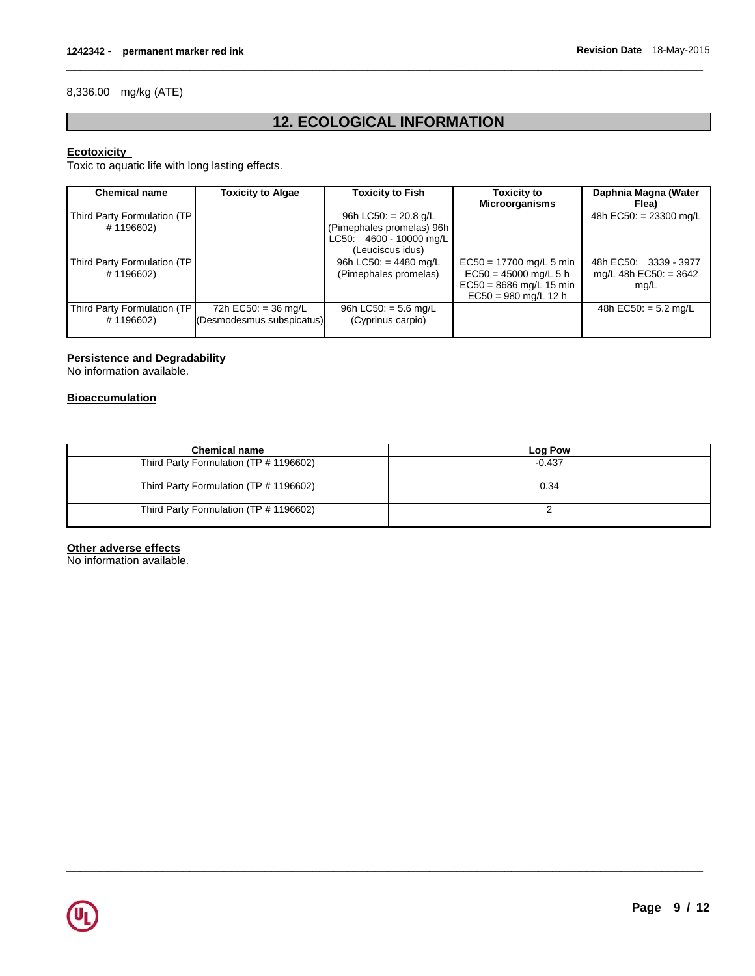#### 8,336.00 mg/kg (ATE)

## **12. ECOLOGICAL INFORMATION**

 $\overline{\phantom{a}}$  ,  $\overline{\phantom{a}}$  ,  $\overline{\phantom{a}}$  ,  $\overline{\phantom{a}}$  ,  $\overline{\phantom{a}}$  ,  $\overline{\phantom{a}}$  ,  $\overline{\phantom{a}}$  ,  $\overline{\phantom{a}}$  ,  $\overline{\phantom{a}}$  ,  $\overline{\phantom{a}}$  ,  $\overline{\phantom{a}}$  ,  $\overline{\phantom{a}}$  ,  $\overline{\phantom{a}}$  ,  $\overline{\phantom{a}}$  ,  $\overline{\phantom{a}}$  ,  $\overline{\phantom{a}}$ 

#### **Ecotoxicity**

Toxic to aquatic life with long lasting effects.

| <b>Chemical name</b>                      | <b>Toxicity to Algae</b>                           | Toxicity to Fish                                                                                   | <b>Toxicity to</b><br><b>Microorganisms</b>                                                                 | Daphnia Magna (Water<br>Flea)                            |
|-------------------------------------------|----------------------------------------------------|----------------------------------------------------------------------------------------------------|-------------------------------------------------------------------------------------------------------------|----------------------------------------------------------|
| Third Party Formulation (TP)<br>#1196602) |                                                    | 96h LC50: $= 20.8$ g/L<br>(Pimephales promelas) 96h<br>LC50: 4600 - 10000 mg/L<br>(Leuciscus idus) |                                                                                                             | 48h EC50: = 23300 mg/L                                   |
| Third Party Formulation (TP)<br>#1196602) |                                                    | 96h LC50: $= 4480$ mg/L<br>(Pimephales promelas)                                                   | $EC50 = 17700$ mg/L 5 min<br>$EC50 = 45000$ mg/L 5 h<br>$EC50 = 8686$ mg/L 15 min<br>$EC50 = 980$ mg/L 12 h | 48h EC50: 3339 - 3977<br>mg/L 48h EC50: $=$ 3642<br>mq/L |
| Third Party Formulation (TP)<br>#1196602) | 72h EC50: $=$ 36 mg/L<br>(Desmodesmus subspicatus) | 96h LC50: $=$ 5.6 mg/L<br>(Cyprinus carpio)                                                        |                                                                                                             | 48h EC50: $=$ 5.2 mg/L                                   |

### **Persistence and Degradability**

No information available.

#### **Bioaccumulation**

| <b>Chemical name</b>                   | Log Pow  |
|----------------------------------------|----------|
| Third Party Formulation (TP # 1196602) | $-0.437$ |
| Third Party Formulation (TP # 1196602) | 0.34     |
| Third Party Formulation (TP # 1196602) |          |

\_\_\_\_\_\_\_\_\_\_\_\_\_\_\_\_\_\_\_\_\_\_\_\_\_\_\_\_\_\_\_\_\_\_\_\_\_\_\_\_\_\_\_\_\_\_\_\_\_\_\_\_\_\_\_\_\_\_\_\_\_\_\_\_\_\_\_\_\_\_\_\_\_\_\_\_\_\_\_\_\_\_\_\_\_\_\_\_\_\_\_\_\_

#### **Other adverse effects**

No information available.

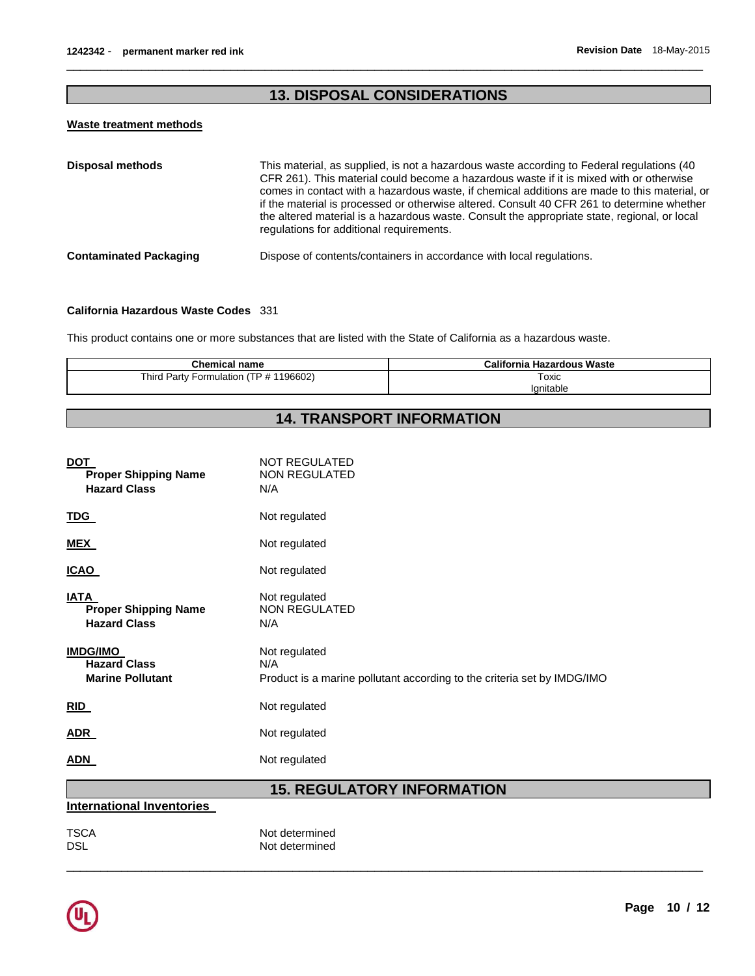## **13. DISPOSAL CONSIDERATIONS**

 $\overline{\phantom{a}}$  ,  $\overline{\phantom{a}}$  ,  $\overline{\phantom{a}}$  ,  $\overline{\phantom{a}}$  ,  $\overline{\phantom{a}}$  ,  $\overline{\phantom{a}}$  ,  $\overline{\phantom{a}}$  ,  $\overline{\phantom{a}}$  ,  $\overline{\phantom{a}}$  ,  $\overline{\phantom{a}}$  ,  $\overline{\phantom{a}}$  ,  $\overline{\phantom{a}}$  ,  $\overline{\phantom{a}}$  ,  $\overline{\phantom{a}}$  ,  $\overline{\phantom{a}}$  ,  $\overline{\phantom{a}}$ 

#### **Waste treatment methods**

| <b>Disposal methods</b>       | This material, as supplied, is not a hazardous waste according to Federal regulations (40<br>CFR 261). This material could become a hazardous waste if it is mixed with or otherwise<br>comes in contact with a hazardous waste, if chemical additions are made to this material, or<br>if the material is processed or otherwise altered. Consult 40 CFR 261 to determine whether<br>the altered material is a hazardous waste. Consult the appropriate state, regional, or local<br>regulations for additional requirements. |
|-------------------------------|--------------------------------------------------------------------------------------------------------------------------------------------------------------------------------------------------------------------------------------------------------------------------------------------------------------------------------------------------------------------------------------------------------------------------------------------------------------------------------------------------------------------------------|
| <b>Contaminated Packaging</b> | Dispose of contents/containers in accordance with local regulations.                                                                                                                                                                                                                                                                                                                                                                                                                                                           |

#### **California Hazardous Waste Codes** 331

This product contains one or more substances that are listed with the State of California as a hazardous waste.

| <b>Chemical name</b>                   | <b>California Hazardous Waste</b> |
|----------------------------------------|-----------------------------------|
| Third Party Formulation (TP # 1196602) | Toxic                             |
|                                        | lanitable                         |

# **14. TRANSPORT INFORMATION**

|                                                                   | <b>15 DECIII ATODY INEODMATION</b>                                                              |
|-------------------------------------------------------------------|-------------------------------------------------------------------------------------------------|
| <b>ADN</b>                                                        | Not regulated                                                                                   |
| <b>ADR</b>                                                        | Not regulated                                                                                   |
| RID                                                               | Not regulated                                                                                   |
| <b>IMDG/IMO</b><br><b>Hazard Class</b><br><b>Marine Pollutant</b> | Not regulated<br>N/A<br>Product is a marine pollutant according to the criteria set by IMDG/IMO |
| <b>IATA</b><br><b>Proper Shipping Name</b><br><b>Hazard Class</b> | Not regulated<br><b>NON REGULATED</b><br>N/A                                                    |
| <b>ICAO</b>                                                       | Not regulated                                                                                   |
| <b>MEX</b>                                                        | Not regulated                                                                                   |
| <b>TDG</b>                                                        | Not regulated                                                                                   |
| <b>DOT</b><br><b>Proper Shipping Name</b><br><b>Hazard Class</b>  | <b>NOT REGULATED</b><br>NON REGULATED<br>N/A                                                    |

\_\_\_\_\_\_\_\_\_\_\_\_\_\_\_\_\_\_\_\_\_\_\_\_\_\_\_\_\_\_\_\_\_\_\_\_\_\_\_\_\_\_\_\_\_\_\_\_\_\_\_\_\_\_\_\_\_\_\_\_\_\_\_\_\_\_\_\_\_\_\_\_\_\_\_\_\_\_\_\_\_\_\_\_\_\_\_\_\_\_\_\_\_

#### **15. REGULATORY INFORMATION International Inventories**

| <b>TSCA</b> | Not determined |
|-------------|----------------|
| DSL         | Not determined |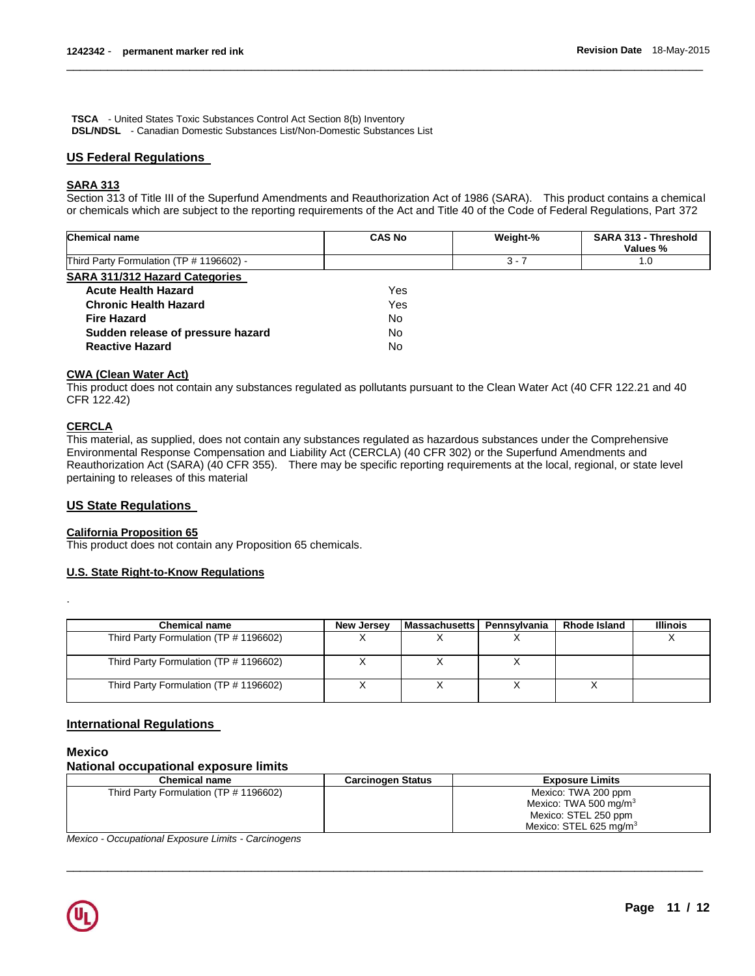**TSCA** - United States Toxic Substances Control Act Section 8(b) Inventory **DSL/NDSL** - Canadian Domestic Substances List/Non-Domestic Substances List

#### **US Federal Regulations**

#### **SARA 313**

Section 313 of Title III of the Superfund Amendments and Reauthorization Act of 1986 (SARA). This product contains a chemical or chemicals which are subject to the reporting requirements of the Act and Title 40 of the Code of Federal Regulations, Part 372

 $\overline{\phantom{a}}$  ,  $\overline{\phantom{a}}$  ,  $\overline{\phantom{a}}$  ,  $\overline{\phantom{a}}$  ,  $\overline{\phantom{a}}$  ,  $\overline{\phantom{a}}$  ,  $\overline{\phantom{a}}$  ,  $\overline{\phantom{a}}$  ,  $\overline{\phantom{a}}$  ,  $\overline{\phantom{a}}$  ,  $\overline{\phantom{a}}$  ,  $\overline{\phantom{a}}$  ,  $\overline{\phantom{a}}$  ,  $\overline{\phantom{a}}$  ,  $\overline{\phantom{a}}$  ,  $\overline{\phantom{a}}$ 

| <b>Chemical name</b>                     | <b>CAS No</b> | Weight-% | SARA 313 - Threshold<br>Values % |
|------------------------------------------|---------------|----------|----------------------------------|
| Third Party Formulation (TP # 1196602) - |               | $3 - 7$  | 1.0                              |
| <b>SARA 311/312 Hazard Categories</b>    |               |          |                                  |
| <b>Acute Health Hazard</b>               | Yes           |          |                                  |
| <b>Chronic Health Hazard</b>             | Yes           |          |                                  |
| <b>Fire Hazard</b>                       | No            |          |                                  |
| Sudden release of pressure hazard        | No            |          |                                  |
| <b>Reactive Hazard</b>                   | No            |          |                                  |

#### **CWA (Clean Water Act)**

This product does not contain any substances regulated as pollutants pursuant to the Clean Water Act (40 CFR 122.21 and 40 CFR 122.42)

#### **CERCLA**

This material, as supplied, does not contain any substances regulated as hazardous substances under the Comprehensive Environmental Response Compensation and Liability Act (CERCLA) (40 CFR 302) or the Superfund Amendments and Reauthorization Act (SARA) (40 CFR 355). There may be specific reporting requirements at the local, regional, or state level pertaining to releases of this material

#### **US State Regulations**

#### **California Proposition 65**

This product does not contain any Proposition 65 chemicals.

#### **U.S. State Right-to-Know Regulations**

| <b>Chemical name</b>                   | <b>New Jersey</b> | l Massachusetts I | Pennsvlvania | Rhode Island | <b>Illinois</b> |
|----------------------------------------|-------------------|-------------------|--------------|--------------|-----------------|
| Third Party Formulation (TP # 1196602) |                   |                   |              |              |                 |
| Third Party Formulation (TP # 1196602) |                   |                   |              |              |                 |
| Third Party Formulation (TP # 1196602) |                   |                   |              |              |                 |

#### **International Regulations**

### **Mexico**

.

### **National occupational exposure limits**

| <b>Chemical name</b>                   | <b>Carcinogen Status</b> | <b>Exposure Limits</b>    |
|----------------------------------------|--------------------------|---------------------------|
| Third Party Formulation (TP # 1196602) |                          | Mexico: TWA 200 ppm       |
|                                        |                          | Mexico: TWA 500 mg/m $3$  |
|                                        |                          | Mexico: STEL 250 ppm      |
|                                        |                          | Mexico: STEL 625 mg/m $3$ |

\_\_\_\_\_\_\_\_\_\_\_\_\_\_\_\_\_\_\_\_\_\_\_\_\_\_\_\_\_\_\_\_\_\_\_\_\_\_\_\_\_\_\_\_\_\_\_\_\_\_\_\_\_\_\_\_\_\_\_\_\_\_\_\_\_\_\_\_\_\_\_\_\_\_\_\_\_\_\_\_\_\_\_\_\_\_\_\_\_\_\_\_\_

*Mexico - Occupational Exposure Limits - Carcinogens*